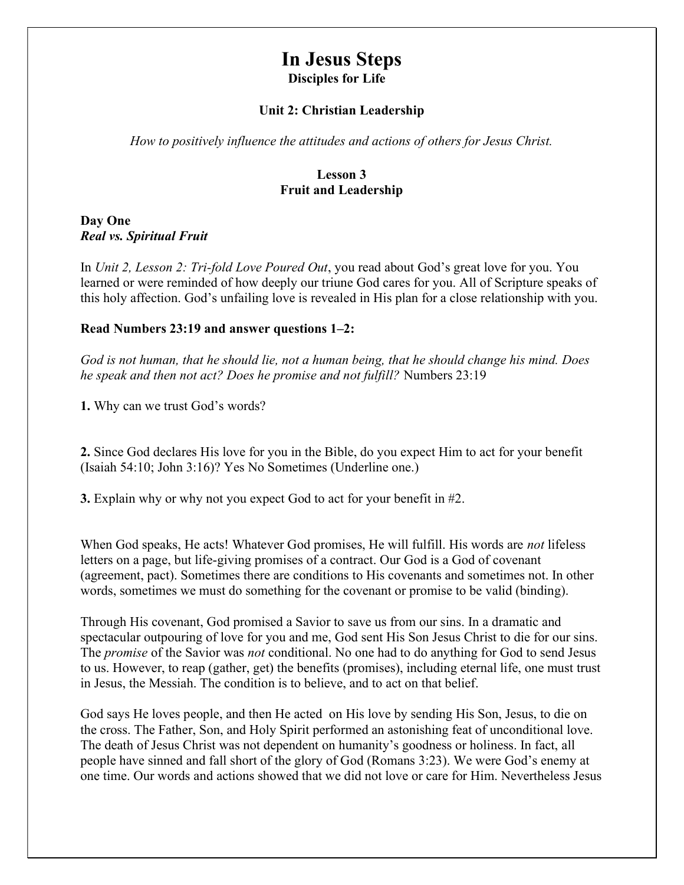# In Jesus Steps Disciples for Life

#### Unit 2: Christian Leadership

How to positively influence the attitudes and actions of others for Jesus Christ.

#### Lesson 3 Fruit and Leadership

Day One Real vs. Spiritual Fruit

In Unit 2, Lesson 2: Tri-fold Love Poured Out, you read about God's great love for you. You learned or were reminded of how deeply our triune God cares for you. All of Scripture speaks of this holy affection. God's unfailing love is revealed in His plan for a close relationship with you.

#### Read Numbers 23:19 and answer questions 1–2:

God is not human, that he should lie, not a human being, that he should change his mind. Does he speak and then not act? Does he promise and not fulfill? Numbers 23:19

1. Why can we trust God's words?

2. Since God declares His love for you in the Bible, do you expect Him to act for your benefit (Isaiah 54:10; John 3:16)? Yes No Sometimes (Underline one.)

3. Explain why or why not you expect God to act for your benefit in #2.

When God speaks, He acts! Whatever God promises, He will fulfill. His words are *not* lifeless letters on a page, but life-giving promises of a contract. Our God is a God of covenant (agreement, pact). Sometimes there are conditions to His covenants and sometimes not. In other words, sometimes we must do something for the covenant or promise to be valid (binding).

Through His covenant, God promised a Savior to save us from our sins. In a dramatic and spectacular outpouring of love for you and me, God sent His Son Jesus Christ to die for our sins. The *promise* of the Savior was *not* conditional. No one had to do anything for God to send Jesus to us. However, to reap (gather, get) the benefits (promises), including eternal life, one must trust in Jesus, the Messiah. The condition is to believe, and to act on that belief.

God says He loves people, and then He acted on His love by sending His Son, Jesus, to die on the cross. The Father, Son, and Holy Spirit performed an astonishing feat of unconditional love. The death of Jesus Christ was not dependent on humanity's goodness or holiness. In fact, all people have sinned and fall short of the glory of God (Romans 3:23). We were God's enemy at one time. Our words and actions showed that we did not love or care for Him. Nevertheless Jesus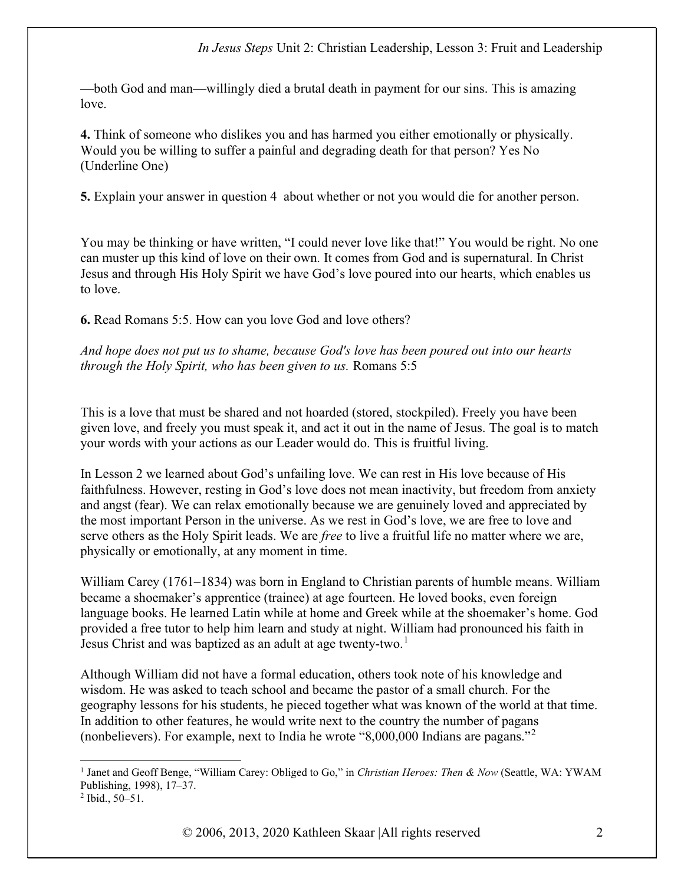—both God and man—willingly died a brutal death in payment for our sins. This is amazing love.

4. Think of someone who dislikes you and has harmed you either emotionally or physically. Would you be willing to suffer a painful and degrading death for that person? Yes No (Underline One)

5. Explain your answer in question 4 about whether or not you would die for another person.

You may be thinking or have written, "I could never love like that!" You would be right. No one can muster up this kind of love on their own. It comes from God and is supernatural. In Christ Jesus and through His Holy Spirit we have God's love poured into our hearts, which enables us to love.

6. Read Romans 5:5. How can you love God and love others?

And hope does not put us to shame, because God's love has been poured out into our hearts through the Holy Spirit, who has been given to us. Romans 5:5

This is a love that must be shared and not hoarded (stored, stockpiled). Freely you have been given love, and freely you must speak it, and act it out in the name of Jesus. The goal is to match your words with your actions as our Leader would do. This is fruitful living.

In Lesson 2 we learned about God's unfailing love. We can rest in His love because of His faithfulness. However, resting in God's love does not mean inactivity, but freedom from anxiety and angst (fear). We can relax emotionally because we are genuinely loved and appreciated by the most important Person in the universe. As we rest in God's love, we are free to love and serve others as the Holy Spirit leads. We are *free* to live a fruitful life no matter where we are, physically or emotionally, at any moment in time.

William Carey (1761–1834) was born in England to Christian parents of humble means. William became a shoemaker's apprentice (trainee) at age fourteen. He loved books, even foreign language books. He learned Latin while at home and Greek while at the shoemaker's home. God provided a free tutor to help him learn and study at night. William had pronounced his faith in Jesus Christ and was baptized as an adult at age twenty-two.<sup>1</sup>

Although William did not have a formal education, others took note of his knowledge and wisdom. He was asked to teach school and became the pastor of a small church. For the geography lessons for his students, he pieced together what was known of the world at that time. In addition to other features, he would write next to the country the number of pagans (nonbelievers). For example, next to India he wrote "8,000,000 Indians are pagans."<sup>2</sup>

<sup>&</sup>lt;sup>1</sup> Janet and Geoff Benge, "William Carey: Obliged to Go," in Christian Heroes: Then & Now (Seattle, WA: YWAM Publishing, 1998), 17–37.

<sup>2</sup> Ibid., 50–51.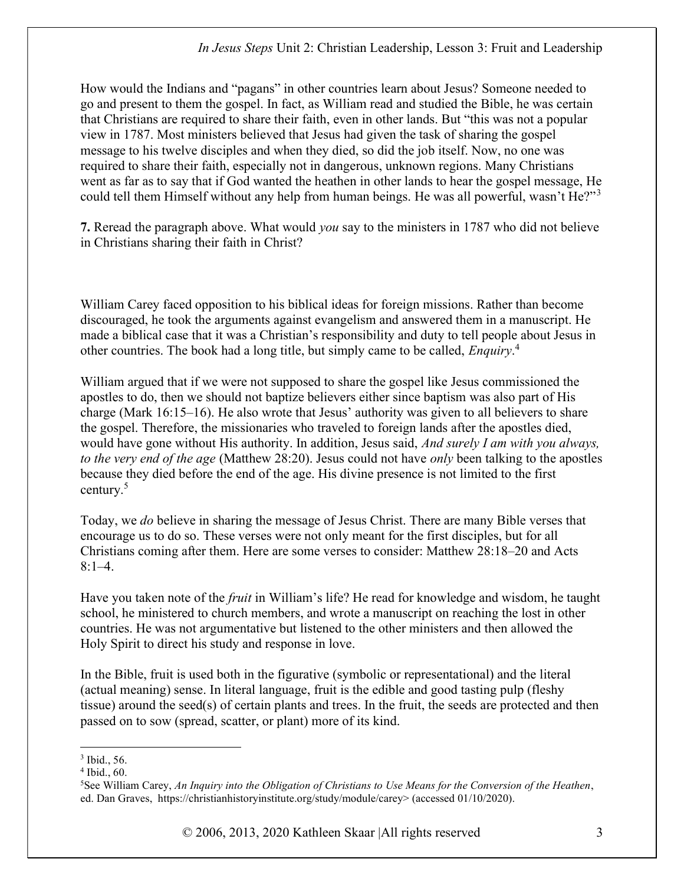How would the Indians and "pagans" in other countries learn about Jesus? Someone needed to go and present to them the gospel. In fact, as William read and studied the Bible, he was certain that Christians are required to share their faith, even in other lands. But "this was not a popular view in 1787. Most ministers believed that Jesus had given the task of sharing the gospel message to his twelve disciples and when they died, so did the job itself. Now, no one was required to share their faith, especially not in dangerous, unknown regions. Many Christians went as far as to say that if God wanted the heathen in other lands to hear the gospel message, He could tell them Himself without any help from human beings. He was all powerful, wasn't He?"<sup>3</sup>

7. Reread the paragraph above. What would you say to the ministers in 1787 who did not believe in Christians sharing their faith in Christ?

William Carey faced opposition to his biblical ideas for foreign missions. Rather than become discouraged, he took the arguments against evangelism and answered them in a manuscript. He made a biblical case that it was a Christian's responsibility and duty to tell people about Jesus in other countries. The book had a long title, but simply came to be called, *Enquiry*.<sup>4</sup>

William argued that if we were not supposed to share the gospel like Jesus commissioned the apostles to do, then we should not baptize believers either since baptism was also part of His charge (Mark 16:15–16). He also wrote that Jesus' authority was given to all believers to share the gospel. Therefore, the missionaries who traveled to foreign lands after the apostles died, would have gone without His authority. In addition, Jesus said, *And surely I am with you always*, to the very end of the age (Matthew 28:20). Jesus could not have only been talking to the apostles because they died before the end of the age. His divine presence is not limited to the first century. $5$ 

Today, we do believe in sharing the message of Jesus Christ. There are many Bible verses that encourage us to do so. These verses were not only meant for the first disciples, but for all Christians coming after them. Here are some verses to consider: Matthew 28:18–20 and Acts  $8:1-4.$ 

Have you taken note of the *fruit* in William's life? He read for knowledge and wisdom, he taught school, he ministered to church members, and wrote a manuscript on reaching the lost in other countries. He was not argumentative but listened to the other ministers and then allowed the Holy Spirit to direct his study and response in love.

In the Bible, fruit is used both in the figurative (symbolic or representational) and the literal (actual meaning) sense. In literal language, fruit is the edible and good tasting pulp (fleshy tissue) around the seed(s) of certain plants and trees. In the fruit, the seeds are protected and then passed on to sow (spread, scatter, or plant) more of its kind.

<sup>3</sup> Ibid., 56.

<sup>4</sup> Ibid., 60.

 $5$ See William Carey, An Inquiry into the Obligation of Christians to Use Means for the Conversion of the Heathen, ed. Dan Graves, https://christianhistoryinstitute.org/study/module/carey> (accessed 01/10/2020).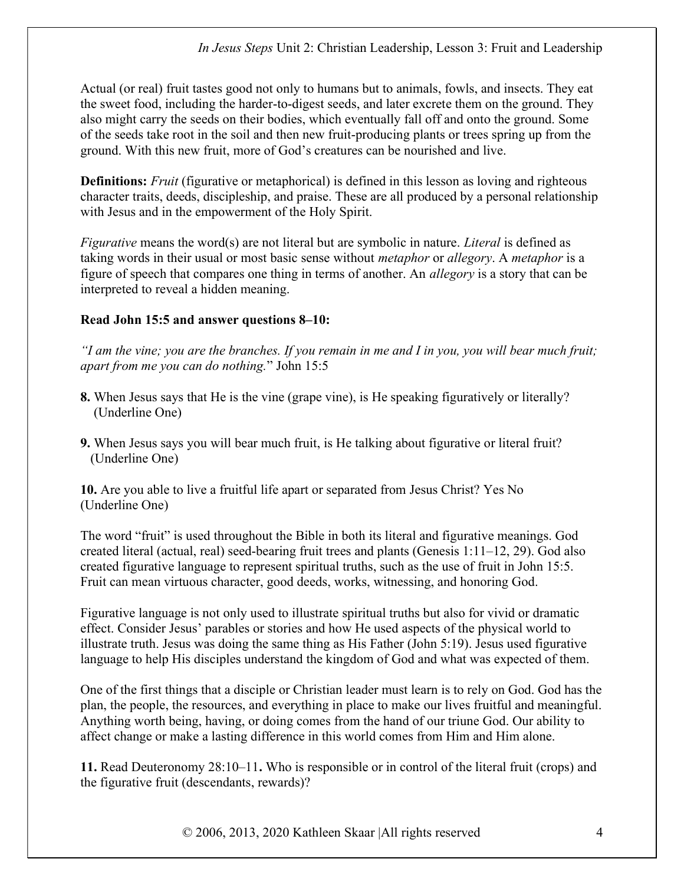Actual (or real) fruit tastes good not only to humans but to animals, fowls, and insects. They eat the sweet food, including the harder-to-digest seeds, and later excrete them on the ground. They also might carry the seeds on their bodies, which eventually fall off and onto the ground. Some of the seeds take root in the soil and then new fruit-producing plants or trees spring up from the ground. With this new fruit, more of God's creatures can be nourished and live.

Definitions: *Fruit* (figurative or metaphorical) is defined in this lesson as loving and righteous character traits, deeds, discipleship, and praise. These are all produced by a personal relationship with Jesus and in the empowerment of the Holy Spirit.

Figurative means the word(s) are not literal but are symbolic in nature. Literal is defined as taking words in their usual or most basic sense without *metaphor* or *allegory*. A *metaphor* is a figure of speech that compares one thing in terms of another. An allegory is a story that can be interpreted to reveal a hidden meaning.

### Read John 15:5 and answer questions 8–10:

"I am the vine; you are the branches. If you remain in me and I in you, you will bear much fruit; apart from me you can do nothing." John 15:5

- 8. When Jesus says that He is the vine (grape vine), is He speaking figuratively or literally? (Underline One)
- 9. When Jesus says you will bear much fruit, is He talking about figurative or literal fruit? (Underline One)

10. Are you able to live a fruitful life apart or separated from Jesus Christ? Yes No (Underline One)

The word "fruit" is used throughout the Bible in both its literal and figurative meanings. God created literal (actual, real) seed-bearing fruit trees and plants (Genesis 1:11–12, 29). God also created figurative language to represent spiritual truths, such as the use of fruit in John 15:5. Fruit can mean virtuous character, good deeds, works, witnessing, and honoring God.

Figurative language is not only used to illustrate spiritual truths but also for vivid or dramatic effect. Consider Jesus' parables or stories and how He used aspects of the physical world to illustrate truth. Jesus was doing the same thing as His Father (John 5:19). Jesus used figurative language to help His disciples understand the kingdom of God and what was expected of them.

One of the first things that a disciple or Christian leader must learn is to rely on God. God has the plan, the people, the resources, and everything in place to make our lives fruitful and meaningful. Anything worth being, having, or doing comes from the hand of our triune God. Our ability to affect change or make a lasting difference in this world comes from Him and Him alone.

11. Read Deuteronomy 28:10–11. Who is responsible or in control of the literal fruit (crops) and the figurative fruit (descendants, rewards)?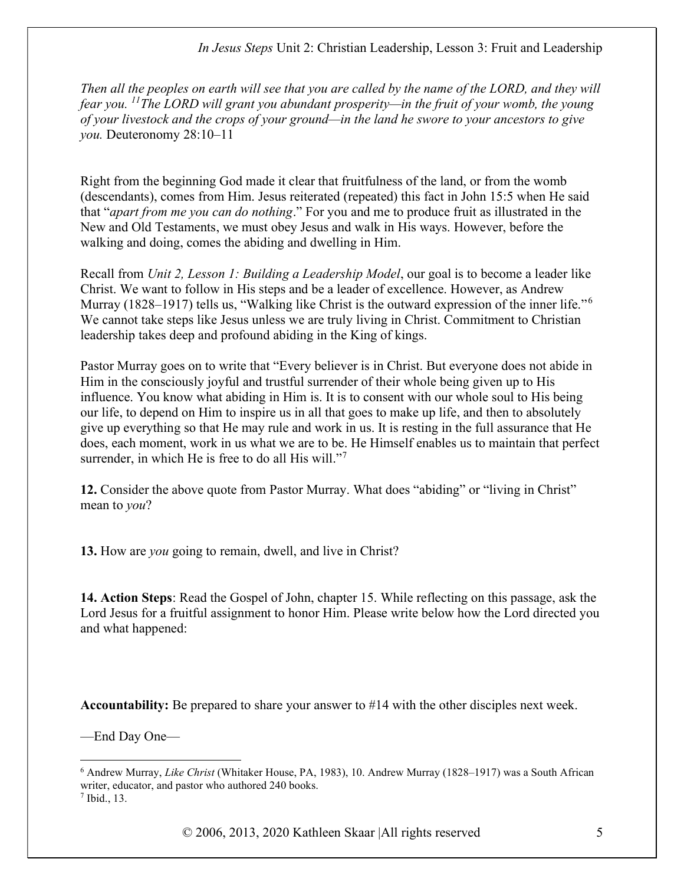Then all the peoples on earth will see that you are called by the name of the LORD, and they will fear you. <sup>11</sup>The LORD will grant you abundant prosperity—in the fruit of your womb, the young of your livestock and the crops of your ground—in the land he swore to your ancestors to give you. Deuteronomy 28:10–11

Right from the beginning God made it clear that fruitfulness of the land, or from the womb (descendants), comes from Him. Jesus reiterated (repeated) this fact in John 15:5 when He said that "apart from me you can do nothing." For you and me to produce fruit as illustrated in the New and Old Testaments, we must obey Jesus and walk in His ways. However, before the walking and doing, comes the abiding and dwelling in Him.

Recall from Unit 2, Lesson 1: Building a Leadership Model, our goal is to become a leader like Christ. We want to follow in His steps and be a leader of excellence. However, as Andrew Murray (1828–1917) tells us, "Walking like Christ is the outward expression of the inner life."<sup>6</sup> We cannot take steps like Jesus unless we are truly living in Christ. Commitment to Christian leadership takes deep and profound abiding in the King of kings.

Pastor Murray goes on to write that "Every believer is in Christ. But everyone does not abide in Him in the consciously joyful and trustful surrender of their whole being given up to His influence. You know what abiding in Him is. It is to consent with our whole soul to His being our life, to depend on Him to inspire us in all that goes to make up life, and then to absolutely give up everything so that He may rule and work in us. It is resting in the full assurance that He does, each moment, work in us what we are to be. He Himself enables us to maintain that perfect surrender, in which He is free to do all His will."<sup>7</sup>

12. Consider the above quote from Pastor Murray. What does "abiding" or "living in Christ" mean to you?

13. How are *you* going to remain, dwell, and live in Christ?

14. Action Steps: Read the Gospel of John, chapter 15. While reflecting on this passage, ask the Lord Jesus for a fruitful assignment to honor Him. Please write below how the Lord directed you and what happened:

Accountability: Be prepared to share your answer to #14 with the other disciples next week.

—End Day One—

<sup>&</sup>lt;sup>6</sup> Andrew Murray, *Like Christ* (Whitaker House, PA, 1983), 10. Andrew Murray (1828–1917) was a South African writer, educator, and pastor who authored 240 books. 7 Ibid., 13.

<sup>© 2006, 2013, 2020</sup> Kathleen Skaar |All rights reserved 5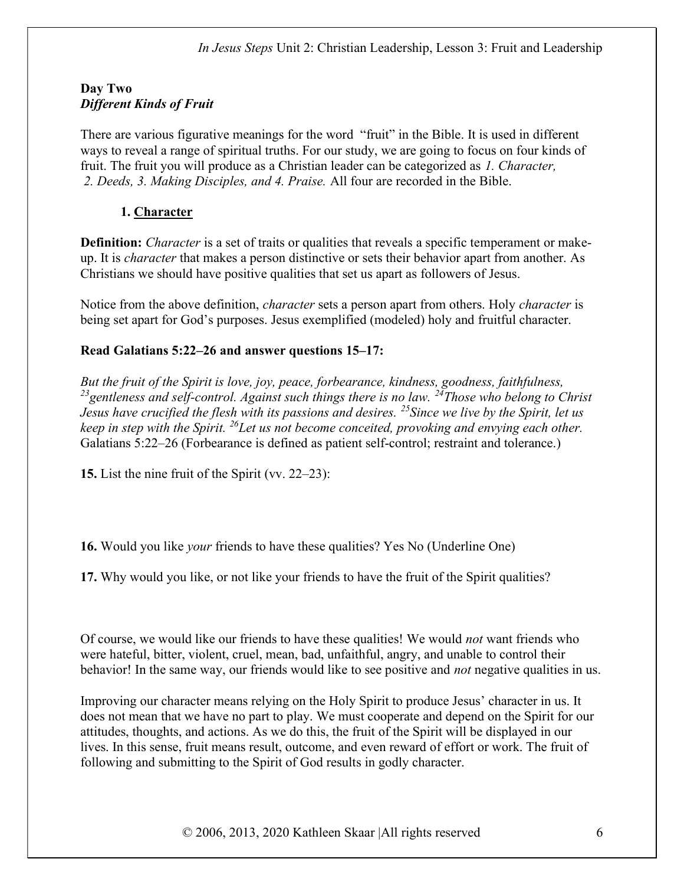## Day Two Different Kinds of Fruit

There are various figurative meanings for the word "fruit" in the Bible. It is used in different ways to reveal a range of spiritual truths. For our study, we are going to focus on four kinds of fruit. The fruit you will produce as a Christian leader can be categorized as 1. Character, 2. Deeds, 3. Making Disciples, and 4. Praise. All four are recorded in the Bible.

# 1. Character

**Definition:** *Character* is a set of traits or qualities that reveals a specific temperament or makeup. It is character that makes a person distinctive or sets their behavior apart from another. As Christians we should have positive qualities that set us apart as followers of Jesus.

Notice from the above definition, *character* sets a person apart from others. Holy *character* is being set apart for God's purposes. Jesus exemplified (modeled) holy and fruitful character.

# Read Galatians 5:22–26 and answer questions 15–17:

But the fruit of the Spirit is love, joy, peace, forbearance, kindness, goodness, faithfulness, <sup>23</sup> gentleness and self-control. Against such things there is no law. <sup>24</sup>Those who belong to Christ Jesus have crucified the flesh with its passions and desires. <sup>25</sup> Since we live by the Spirit, let us keep in step with the Spirit. <sup>26</sup>Let us not become conceited, provoking and envying each other. Galatians 5:22–26 (Forbearance is defined as patient self-control; restraint and tolerance.)

15. List the nine fruit of the Spirit (vv. 22–23):

16. Would you like your friends to have these qualities? Yes No (Underline One)

17. Why would you like, or not like your friends to have the fruit of the Spirit qualities?

Of course, we would like our friends to have these qualities! We would not want friends who were hateful, bitter, violent, cruel, mean, bad, unfaithful, angry, and unable to control their behavior! In the same way, our friends would like to see positive and *not* negative qualities in us.

Improving our character means relying on the Holy Spirit to produce Jesus' character in us. It does not mean that we have no part to play. We must cooperate and depend on the Spirit for our attitudes, thoughts, and actions. As we do this, the fruit of the Spirit will be displayed in our lives. In this sense, fruit means result, outcome, and even reward of effort or work. The fruit of following and submitting to the Spirit of God results in godly character.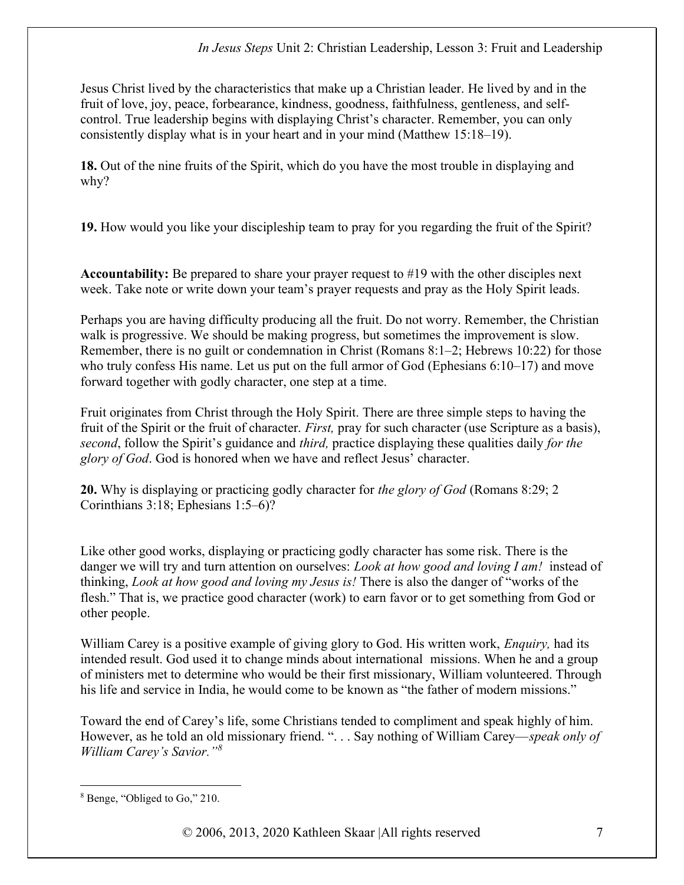Jesus Christ lived by the characteristics that make up a Christian leader. He lived by and in the fruit of love, joy, peace, forbearance, kindness, goodness, faithfulness, gentleness, and selfcontrol. True leadership begins with displaying Christ's character. Remember, you can only consistently display what is in your heart and in your mind (Matthew 15:18–19).

18. Out of the nine fruits of the Spirit, which do you have the most trouble in displaying and why?

19. How would you like your discipleship team to pray for you regarding the fruit of the Spirit?

Accountability: Be prepared to share your prayer request to #19 with the other disciples next week. Take note or write down your team's prayer requests and pray as the Holy Spirit leads.

Perhaps you are having difficulty producing all the fruit. Do not worry. Remember, the Christian walk is progressive. We should be making progress, but sometimes the improvement is slow. Remember, there is no guilt or condemnation in Christ (Romans 8:1–2; Hebrews 10:22) for those who truly confess His name. Let us put on the full armor of God (Ephesians 6:10–17) and move forward together with godly character, one step at a time.

Fruit originates from Christ through the Holy Spirit. There are three simple steps to having the fruit of the Spirit or the fruit of character. *First*, pray for such character (use Scripture as a basis), second, follow the Spirit's guidance and *third*, practice displaying these qualities daily for the glory of God. God is honored when we have and reflect Jesus' character.

20. Why is displaying or practicing godly character for the glory of God (Romans 8:29; 2) Corinthians 3:18; Ephesians 1:5–6)?

Like other good works, displaying or practicing godly character has some risk. There is the danger we will try and turn attention on ourselves: *Look at how good and loving I am!* instead of thinking, *Look at how good and loving my Jesus is!* There is also the danger of "works of the flesh." That is, we practice good character (work) to earn favor or to get something from God or other people.

William Carey is a positive example of giving glory to God. His written work, *Enquiry*, had its intended result. God used it to change minds about international missions. When he and a group of ministers met to determine who would be their first missionary, William volunteered. Through his life and service in India, he would come to be known as "the father of modern missions."

Toward the end of Carey's life, some Christians tended to compliment and speak highly of him. However, as he told an old missionary friend. ". . . Say nothing of William Carey—speak only of William Carey's Savior."<sup>8</sup>

<sup>8</sup> Benge, "Obliged to Go," 210.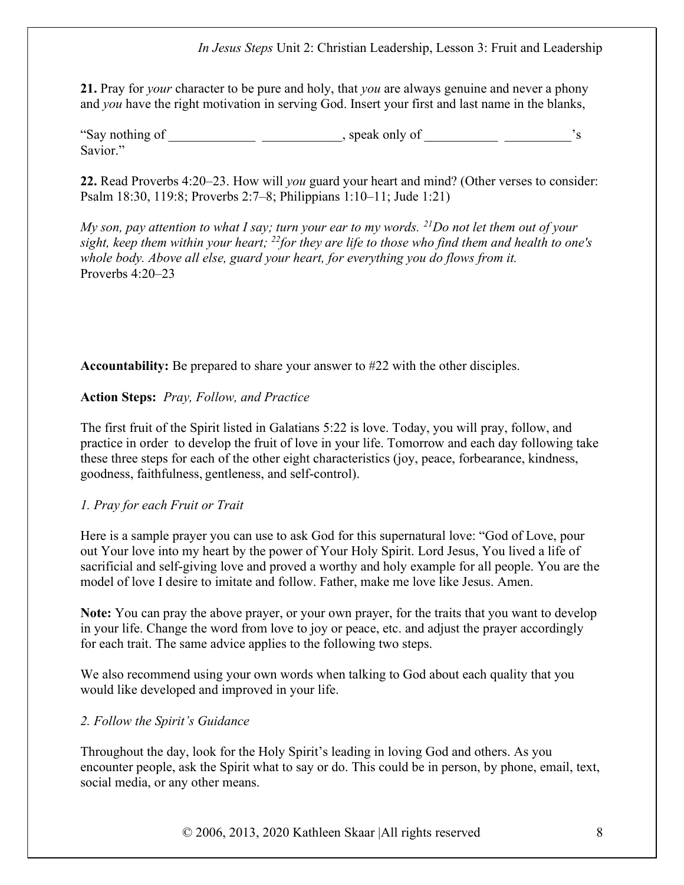21. Pray for *your* character to be pure and holy, that *you* are always genuine and never a phony and you have the right motivation in serving God. Insert your first and last name in the blanks,

"Say nothing of \_\_\_\_\_\_\_\_\_\_\_\_\_\_\_\_\_\_\_\_\_\_\_\_, speak only of Savior."

22. Read Proverbs 4:20–23. How will you guard your heart and mind? (Other verses to consider: Psalm 18:30, 119:8; Proverbs 2:7–8; Philippians 1:10–11; Jude 1:21)

My son, pay attention to what I say; turn your ear to my words.  $^{21}$ Do not let them out of your sight, keep them within your heart;  $^{22}$  for they are life to those who find them and health to one's whole body. Above all else, guard your heart, for everything you do flows from it. Proverbs 4:20–23

Accountability: Be prepared to share your answer to #22 with the other disciples.

#### Action Steps: Pray, Follow, and Practice

The first fruit of the Spirit listed in Galatians 5:22 is love. Today, you will pray, follow, and practice in order to develop the fruit of love in your life. Tomorrow and each day following take these three steps for each of the other eight characteristics (joy, peace, forbearance, kindness, goodness, faithfulness, gentleness, and self-control).

#### 1. Pray for each Fruit or Trait

Here is a sample prayer you can use to ask God for this supernatural love: "God of Love, pour out Your love into my heart by the power of Your Holy Spirit. Lord Jesus, You lived a life of sacrificial and self-giving love and proved a worthy and holy example for all people. You are the model of love I desire to imitate and follow. Father, make me love like Jesus. Amen.

Note: You can pray the above prayer, or your own prayer, for the traits that you want to develop in your life. Change the word from love to joy or peace, etc. and adjust the prayer accordingly for each trait. The same advice applies to the following two steps.

We also recommend using your own words when talking to God about each quality that you would like developed and improved in your life.

#### 2. Follow the Spirit's Guidance

Throughout the day, look for the Holy Spirit's leading in loving God and others. As you encounter people, ask the Spirit what to say or do. This could be in person, by phone, email, text, social media, or any other means.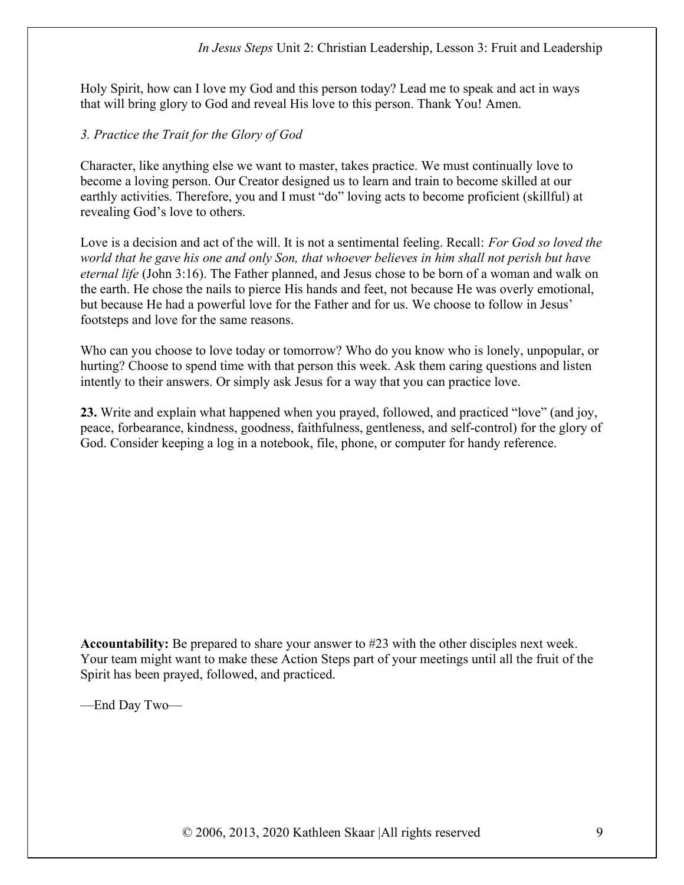Holy Spirit, how can I love my God and this person today? Lead me to speak and act in ways that will bring glory to God and reveal His love to this person. Thank You! Amen.

# 3. Practice the Trait for the Glory of God

Character, like anything else we want to master, takes practice. We must continually love to become a loving person. Our Creator designed us to learn and train to become skilled at our earthly activities. Therefore, you and I must "do" loving acts to become proficient (skillful) at revealing God's love to others.

Love is a decision and act of the will. It is not a sentimental feeling. Recall: For God so loved the world that he gave his one and only Son, that whoever believes in him shall not perish but have eternal life (John 3:16). The Father planned, and Jesus chose to be born of a woman and walk on the earth. He chose the nails to pierce His hands and feet, not because He was overly emotional, but because He had a powerful love for the Father and for us. We choose to follow in Jesus' footsteps and love for the same reasons.

Who can you choose to love today or tomorrow? Who do you know who is lonely, unpopular, or hurting? Choose to spend time with that person this week. Ask them caring questions and listen intently to their answers. Or simply ask Jesus for a way that you can practice love.

23. Write and explain what happened when you prayed, followed, and practiced "love" (and joy, peace, forbearance, kindness, goodness, faithfulness, gentleness, and self-control) for the glory of God. Consider keeping a log in a notebook, file, phone, or computer for handy reference.

Accountability: Be prepared to share your answer to #23 with the other disciples next week. Your team might want to make these Action Steps part of your meetings until all the fruit of the Spirit has been prayed, followed, and practiced.

—End Day Two—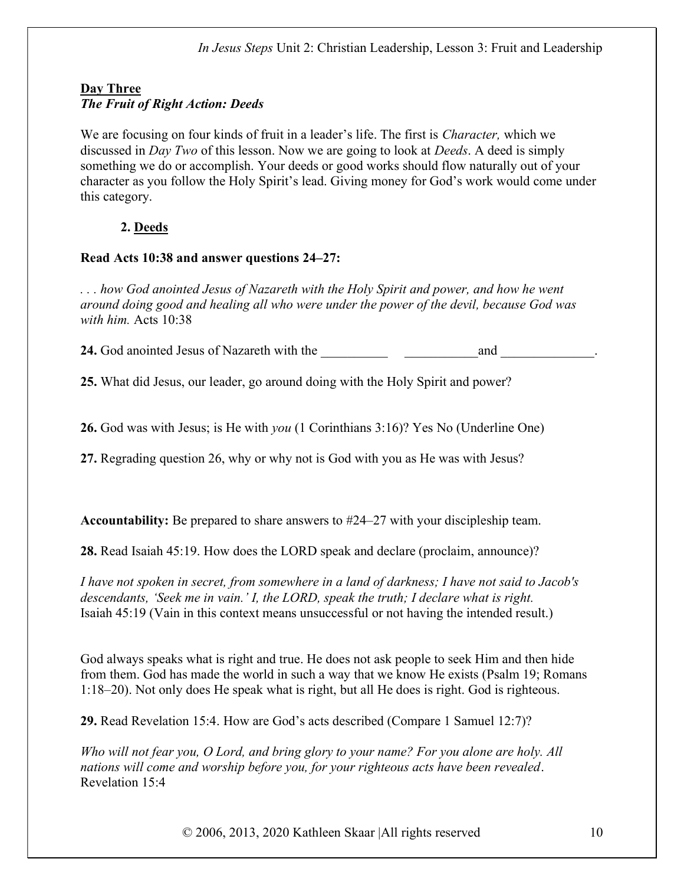# Day Three The Fruit of Right Action: Deeds

We are focusing on four kinds of fruit in a leader's life. The first is *Character*, which we discussed in *Day Two* of this lesson. Now we are going to look at *Deeds*. A deed is simply something we do or accomplish. Your deeds or good works should flow naturally out of your character as you follow the Holy Spirit's lead. Giving money for God's work would come under this category.

# 2. Deeds

### Read Acts 10:38 and answer questions 24–27:

. . . how God anointed Jesus of Nazareth with the Holy Spirit and power, and how he went around doing good and healing all who were under the power of the devil, because God was with him. Acts 10:38

24. God anointed Jesus of Nazareth with the and  $\Box$ 

25. What did Jesus, our leader, go around doing with the Holy Spirit and power?

26. God was with Jesus; is He with you (1 Corinthians 3:16)? Yes No (Underline One)

27. Regrading question 26, why or why not is God with you as He was with Jesus?

Accountability: Be prepared to share answers to #24–27 with your discipleship team.

28. Read Isaiah 45:19. How does the LORD speak and declare (proclaim, announce)?

I have not spoken in secret, from somewhere in a land of darkness; I have not said to Jacob's descendants, 'Seek me in vain.' I, the LORD, speak the truth; I declare what is right. Isaiah 45:19 (Vain in this context means unsuccessful or not having the intended result.)

God always speaks what is right and true. He does not ask people to seek Him and then hide from them. God has made the world in such a way that we know He exists (Psalm 19; Romans 1:18–20). Not only does He speak what is right, but all He does is right. God is righteous.

29. Read Revelation 15:4. How are God's acts described (Compare 1 Samuel 12:7)?

Who will not fear you, O Lord, and bring glory to your name? For you alone are holy. All nations will come and worship before you, for your righteous acts have been revealed. Revelation 15:4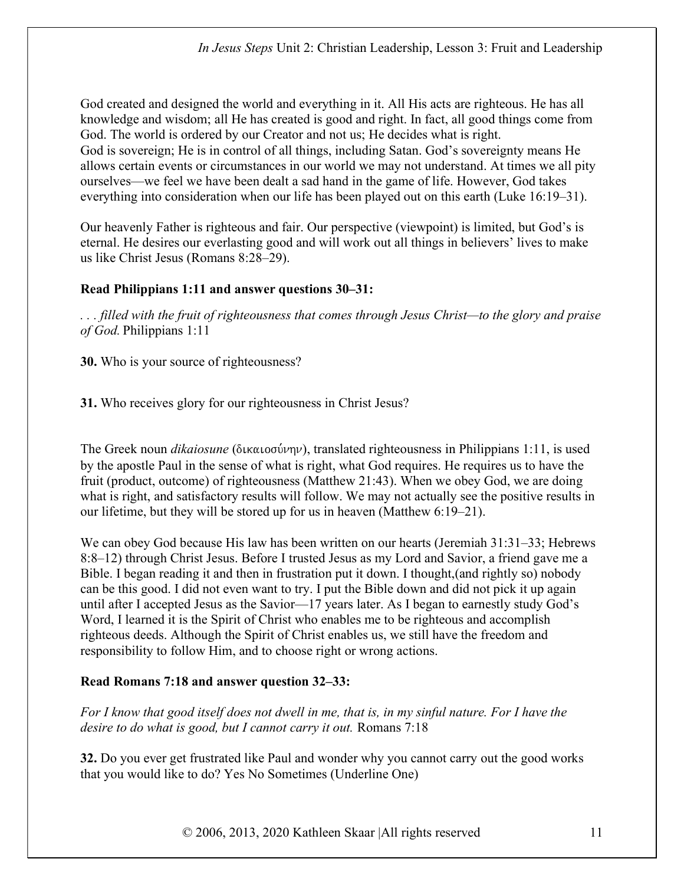God created and designed the world and everything in it. All His acts are righteous. He has all knowledge and wisdom; all He has created is good and right. In fact, all good things come from God. The world is ordered by our Creator and not us; He decides what is right. God is sovereign; He is in control of all things, including Satan. God's sovereignty means He allows certain events or circumstances in our world we may not understand. At times we all pity ourselves—we feel we have been dealt a sad hand in the game of life. However, God takes everything into consideration when our life has been played out on this earth (Luke 16:19–31).

Our heavenly Father is righteous and fair. Our perspective (viewpoint) is limited, but God's is eternal. He desires our everlasting good and will work out all things in believers' lives to make us like Christ Jesus (Romans 8:28–29).

# Read Philippians 1:11 and answer questions 30–31:

. . . filled with the fruit of righteousness that comes through Jesus Christ—to the glory and praise of God. Philippians 1:11

30. Who is your source of righteousness?

31. Who receives glory for our righteousness in Christ Jesus?

The Greek noun *dikaiosune* ( $\delta$ ικαιοσύνην), translated righteousness in Philippians 1:11, is used by the apostle Paul in the sense of what is right, what God requires. He requires us to have the fruit (product, outcome) of righteousness (Matthew 21:43). When we obey God, we are doing what is right, and satisfactory results will follow. We may not actually see the positive results in our lifetime, but they will be stored up for us in heaven (Matthew 6:19–21).

We can obey God because His law has been written on our hearts (Jeremiah 31:31–33; Hebrews 8:8–12) through Christ Jesus. Before I trusted Jesus as my Lord and Savior, a friend gave me a Bible. I began reading it and then in frustration put it down. I thought,(and rightly so) nobody can be this good. I did not even want to try. I put the Bible down and did not pick it up again until after I accepted Jesus as the Savior—17 years later. As I began to earnestly study God's Word, I learned it is the Spirit of Christ who enables me to be righteous and accomplish righteous deeds. Although the Spirit of Christ enables us, we still have the freedom and responsibility to follow Him, and to choose right or wrong actions.

# Read Romans 7:18 and answer question 32–33:

For I know that good itself does not dwell in me, that is, in my sinful nature. For I have the desire to do what is good, but I cannot carry it out. Romans 7:18

32. Do you ever get frustrated like Paul and wonder why you cannot carry out the good works that you would like to do? Yes No Sometimes (Underline One)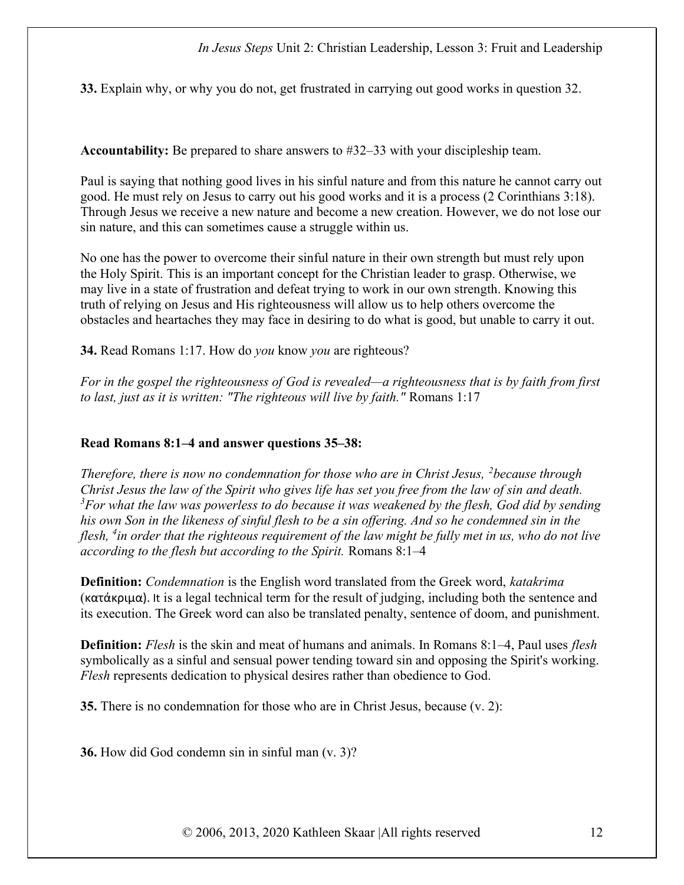33. Explain why, or why you do not, get frustrated in carrying out good works in question 32.

Accountability: Be prepared to share answers to #32–33 with your discipleship team.

Paul is saying that nothing good lives in his sinful nature and from this nature he cannot carry out good. He must rely on Jesus to carry out his good works and it is a process (2 Corinthians 3:18). Through Jesus we receive a new nature and become a new creation. However, we do not lose our sin nature, and this can sometimes cause a struggle within us.

No one has the power to overcome their sinful nature in their own strength but must rely upon the Holy Spirit. This is an important concept for the Christian leader to grasp. Otherwise, we may live in a state of frustration and defeat trying to work in our own strength. Knowing this truth of relying on Jesus and His righteousness will allow us to help others overcome the obstacles and heartaches they may face in desiring to do what is good, but unable to carry it out.

**34.** Read Romans 1:17. How do *you* know *you* are righteous?

For in the gospel the righteousness of God is revealed—a righteousness that is by faith from first to last, just as it is written: "The righteous will live by faith." Romans 1:17

#### Read Romans 8:1–4 and answer questions 35–38:

Therefore, there is now no condemnation for those who are in Christ Jesus,  $\lambda$  because through Christ Jesus the law of the Spirit who gives life has set you free from the law of sin and death.  $3$ For what the law was powerless to do because it was weakened by the flesh, God did by sending his own Son in the likeness of sinful flesh to be a sin offering. And so he condemned sin in the flesh, <sup>4</sup>in order that the righteous requirement of the law might be fully met in us, who do not live according to the flesh but according to the Spirit. Romans 8:1–4

**Definition:** Condemnation is the English word translated from the Greek word, katakrima (κατάκριμα). It is a legal technical term for the result of judging, including both the sentence and its execution. The Greek word can also be translated penalty, sentence of doom, and punishment.

**Definition:** Flesh is the skin and meat of humans and animals. In Romans 8:1–4, Paul uses flesh symbolically as a sinful and sensual power tending toward sin and opposing the Spirit's working. Flesh represents dedication to physical desires rather than obedience to God.

35. There is no condemnation for those who are in Christ Jesus, because (v. 2):

36. How did God condemn sin in sinful man (v. 3)?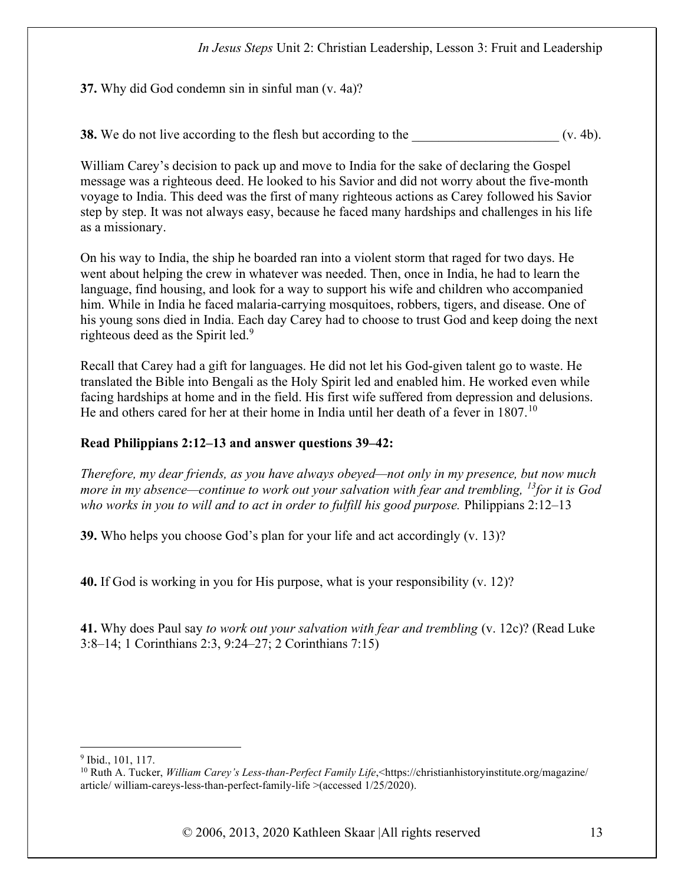37. Why did God condemn sin in sinful man (v. 4a)?

38. We do not live according to the flesh but according to the  $($ v. 4b).

William Carey's decision to pack up and move to India for the sake of declaring the Gospel message was a righteous deed. He looked to his Savior and did not worry about the five-month voyage to India. This deed was the first of many righteous actions as Carey followed his Savior step by step. It was not always easy, because he faced many hardships and challenges in his life as a missionary.

On his way to India, the ship he boarded ran into a violent storm that raged for two days. He went about helping the crew in whatever was needed. Then, once in India, he had to learn the language, find housing, and look for a way to support his wife and children who accompanied him. While in India he faced malaria-carrying mosquitoes, robbers, tigers, and disease. One of his young sons died in India. Each day Carey had to choose to trust God and keep doing the next righteous deed as the Spirit led.<sup>9</sup>

Recall that Carey had a gift for languages. He did not let his God-given talent go to waste. He translated the Bible into Bengali as the Holy Spirit led and enabled him. He worked even while facing hardships at home and in the field. His first wife suffered from depression and delusions. He and others cared for her at their home in India until her death of a fever in  $1807$ .<sup>10</sup>

### Read Philippians 2:12–13 and answer questions 39–42:

Therefore, my dear friends, as you have always obeyed—not only in my presence, but now much more in my absence—continue to work out your salvation with fear and trembling,  $^{13}$  for it is God who works in you to will and to act in order to fulfill his good purpose. Philippians 2:12–13

39. Who helps you choose God's plan for your life and act accordingly (v. 13)?

40. If God is working in you for His purpose, what is your responsibility (v. 12)?

41. Why does Paul say to work out your salvation with fear and trembling (v. 12c)? (Read Luke 3:8–14; 1 Corinthians 2:3, 9:24–27; 2 Corinthians 7:15)

<sup>&</sup>lt;sup>9</sup> Ibid., 101, 117.

<sup>&</sup>lt;sup>10</sup> Ruth A. Tucker, *William Carey's Less-than-Perfect Family Life*, <https://christianhistoryinstitute.org/magazine/ article/ william-careys-less-than-perfect-family-life >(accessed 1/25/2020).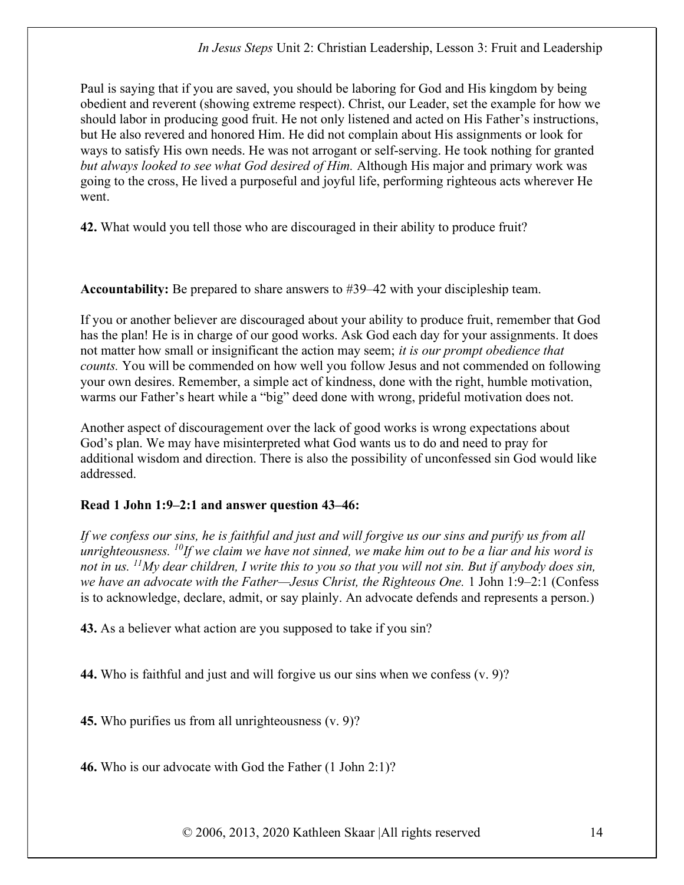Paul is saying that if you are saved, you should be laboring for God and His kingdom by being obedient and reverent (showing extreme respect). Christ, our Leader, set the example for how we should labor in producing good fruit. He not only listened and acted on His Father's instructions, but He also revered and honored Him. He did not complain about His assignments or look for ways to satisfy His own needs. He was not arrogant or self-serving. He took nothing for granted but always looked to see what God desired of Him. Although His major and primary work was going to the cross, He lived a purposeful and joyful life, performing righteous acts wherever He went.

42. What would you tell those who are discouraged in their ability to produce fruit?

Accountability: Be prepared to share answers to #39–42 with your discipleship team.

If you or another believer are discouraged about your ability to produce fruit, remember that God has the plan! He is in charge of our good works. Ask God each day for your assignments. It does not matter how small or insignificant the action may seem; it is our prompt obedience that counts. You will be commended on how well you follow Jesus and not commended on following your own desires. Remember, a simple act of kindness, done with the right, humble motivation, warms our Father's heart while a "big" deed done with wrong, prideful motivation does not.

Another aspect of discouragement over the lack of good works is wrong expectations about God's plan. We may have misinterpreted what God wants us to do and need to pray for additional wisdom and direction. There is also the possibility of unconfessed sin God would like addressed.

### Read 1 John 1:9–2:1 and answer question 43–46:

If we confess our sins, he is faithful and just and will forgive us our sins and purify us from all unrighteousness.  $^{10}$ If we claim we have not sinned, we make him out to be a liar and his word is not in us.  $^{11}Mv$  dear children, I write this to you so that you will not sin. But if anybody does sin, we have an advocate with the Father—Jesus Christ, the Righteous One. 1 John 1:9–2:1 (Confess is to acknowledge, declare, admit, or say plainly. An advocate defends and represents a person.)

43. As a believer what action are you supposed to take if you sin?

44. Who is faithful and just and will forgive us our sins when we confess (v. 9)?

45. Who purifies us from all unrighteousness (v. 9)?

46. Who is our advocate with God the Father (1 John 2:1)?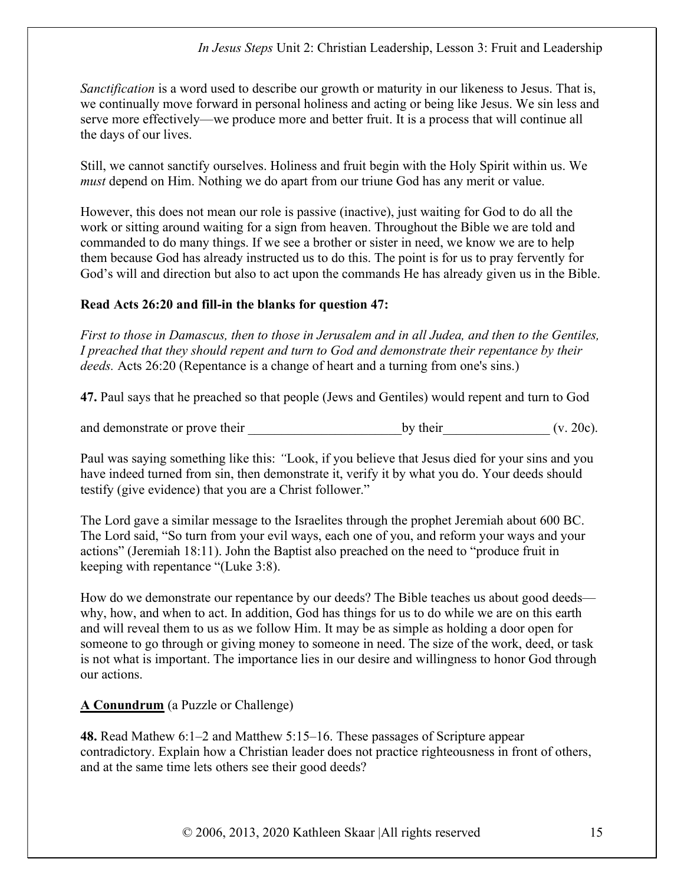Sanctification is a word used to describe our growth or maturity in our likeness to Jesus. That is, we continually move forward in personal holiness and acting or being like Jesus. We sin less and serve more effectively—we produce more and better fruit. It is a process that will continue all the days of our lives.

Still, we cannot sanctify ourselves. Holiness and fruit begin with the Holy Spirit within us. We must depend on Him. Nothing we do apart from our triune God has any merit or value.

However, this does not mean our role is passive (inactive), just waiting for God to do all the work or sitting around waiting for a sign from heaven. Throughout the Bible we are told and commanded to do many things. If we see a brother or sister in need, we know we are to help them because God has already instructed us to do this. The point is for us to pray fervently for God's will and direction but also to act upon the commands He has already given us in the Bible.

### Read Acts 26:20 and fill-in the blanks for question 47:

First to those in Damascus, then to those in Jerusalem and in all Judea, and then to the Gentiles, I preached that they should repent and turn to God and demonstrate their repentance by their deeds. Acts 26:20 (Repentance is a change of heart and a turning from one's sins.)

47. Paul says that he preached so that people (Jews and Gentiles) would repent and turn to God

and demonstrate or prove their by their by their (v. 20c).

Paul was saying something like this: "Look, if you believe that Jesus died for your sins and you have indeed turned from sin, then demonstrate it, verify it by what you do. Your deeds should testify (give evidence) that you are a Christ follower."

The Lord gave a similar message to the Israelites through the prophet Jeremiah about 600 BC. The Lord said, "So turn from your evil ways, each one of you, and reform your ways and your actions" (Jeremiah 18:11). John the Baptist also preached on the need to "produce fruit in keeping with repentance "(Luke 3:8).

How do we demonstrate our repentance by our deeds? The Bible teaches us about good deeds why, how, and when to act. In addition, God has things for us to do while we are on this earth and will reveal them to us as we follow Him. It may be as simple as holding a door open for someone to go through or giving money to someone in need. The size of the work, deed, or task is not what is important. The importance lies in our desire and willingness to honor God through our actions.

### A Conundrum (a Puzzle or Challenge)

48. Read Mathew 6:1–2 and Matthew 5:15–16. These passages of Scripture appear contradictory. Explain how a Christian leader does not practice righteousness in front of others, and at the same time lets others see their good deeds?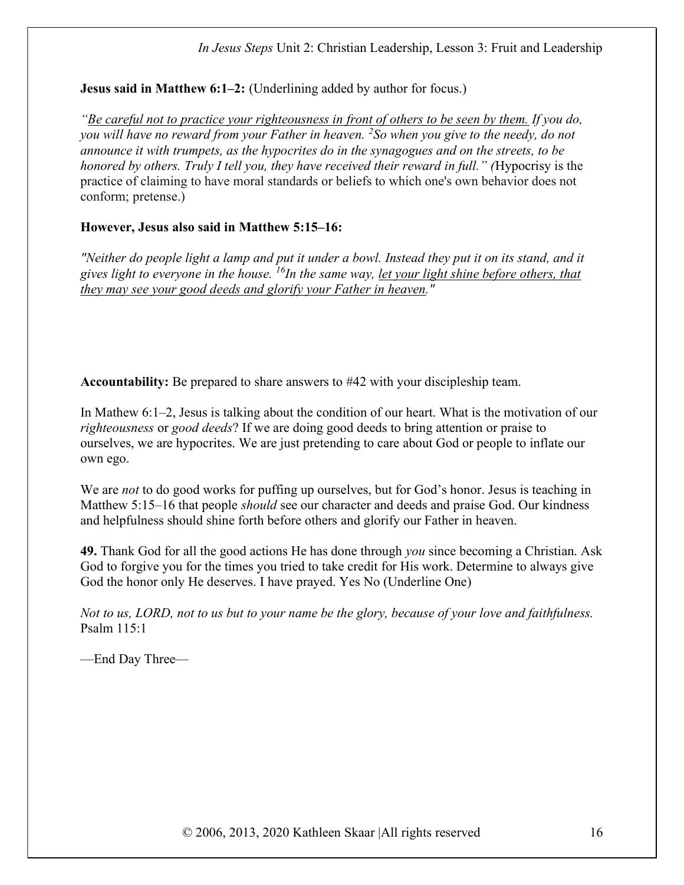Jesus said in Matthew 6:1–2: (Underlining added by author for focus.)

"Be careful not to practice your righteousness in front of others to be seen by them. If you do, you will have no reward from your Father in heaven.  ${}^{2}S$ o when you give to the needy, do not announce it with trumpets, as the hypocrites do in the synagogues and on the streets, to be honored by others. Truly I tell you, they have received their reward in full." (Hypocrisy is the practice of claiming to have moral standards or beliefs to which one's own behavior does not conform; pretense.)

# However, Jesus also said in Matthew 5:15–16:

"Neither do people light a lamp and put it under a bowl. Instead they put it on its stand, and it gives light to everyone in the house. <sup>16</sup>In the same way, let your light shine before others, that they may see your good deeds and glorify your Father in heaven."

Accountability: Be prepared to share answers to #42 with your discipleship team.

In Mathew 6:1–2, Jesus is talking about the condition of our heart. What is the motivation of our righteousness or good deeds? If we are doing good deeds to bring attention or praise to ourselves, we are hypocrites. We are just pretending to care about God or people to inflate our own ego.

We are *not* to do good works for puffing up ourselves, but for God's honor. Jesus is teaching in Matthew 5:15–16 that people should see our character and deeds and praise God. Our kindness and helpfulness should shine forth before others and glorify our Father in heaven.

49. Thank God for all the good actions He has done through *you* since becoming a Christian. Ask God to forgive you for the times you tried to take credit for His work. Determine to always give God the honor only He deserves. I have prayed. Yes No (Underline One)

Not to us, LORD, not to us but to your name be the glory, because of your love and faithfulness. Psalm 115:1

—End Day Three—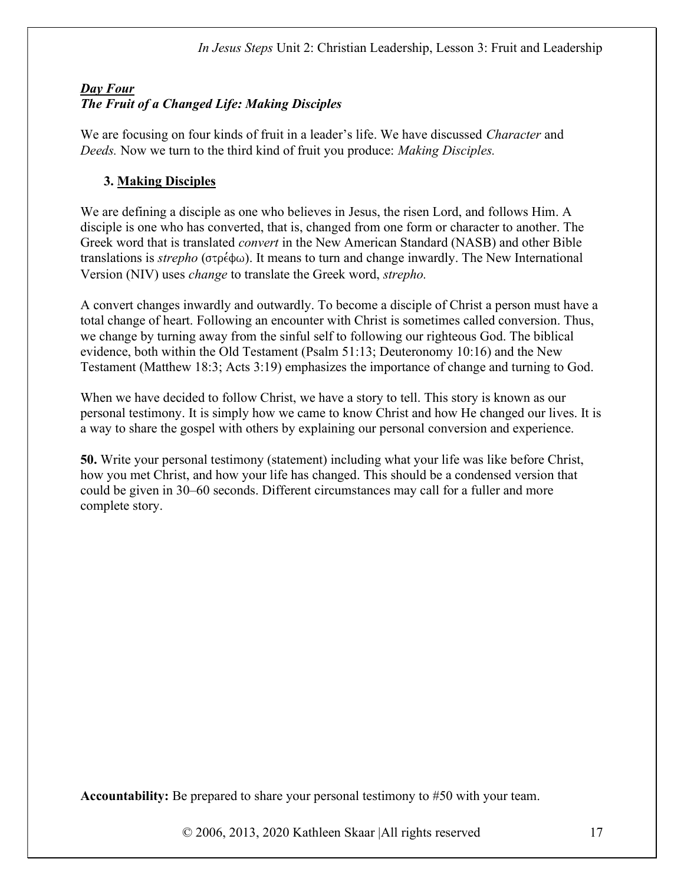# Day Four The Fruit of a Changed Life: Making Disciples

We are focusing on four kinds of fruit in a leader's life. We have discussed *Character* and Deeds. Now we turn to the third kind of fruit you produce: Making Disciples.

# 3. Making Disciples

We are defining a disciple as one who believes in Jesus, the risen Lord, and follows Him. A disciple is one who has converted, that is, changed from one form or character to another. The Greek word that is translated convert in the New American Standard (NASB) and other Bible translations is *strepho* ( $\sigma \rho \notin \phi \omega$ ). It means to turn and change inwardly. The New International Version (NIV) uses change to translate the Greek word, strepho.

A convert changes inwardly and outwardly. To become a disciple of Christ a person must have a total change of heart. Following an encounter with Christ is sometimes called conversion. Thus, we change by turning away from the sinful self to following our righteous God. The biblical evidence, both within the Old Testament (Psalm 51:13; Deuteronomy 10:16) and the New Testament (Matthew 18:3; Acts 3:19) emphasizes the importance of change and turning to God.

When we have decided to follow Christ, we have a story to tell. This story is known as our personal testimony. It is simply how we came to know Christ and how He changed our lives. It is a way to share the gospel with others by explaining our personal conversion and experience.

50. Write your personal testimony (statement) including what your life was like before Christ, how you met Christ, and how your life has changed. This should be a condensed version that could be given in 30–60 seconds. Different circumstances may call for a fuller and more complete story.

Accountability: Be prepared to share your personal testimony to #50 with your team.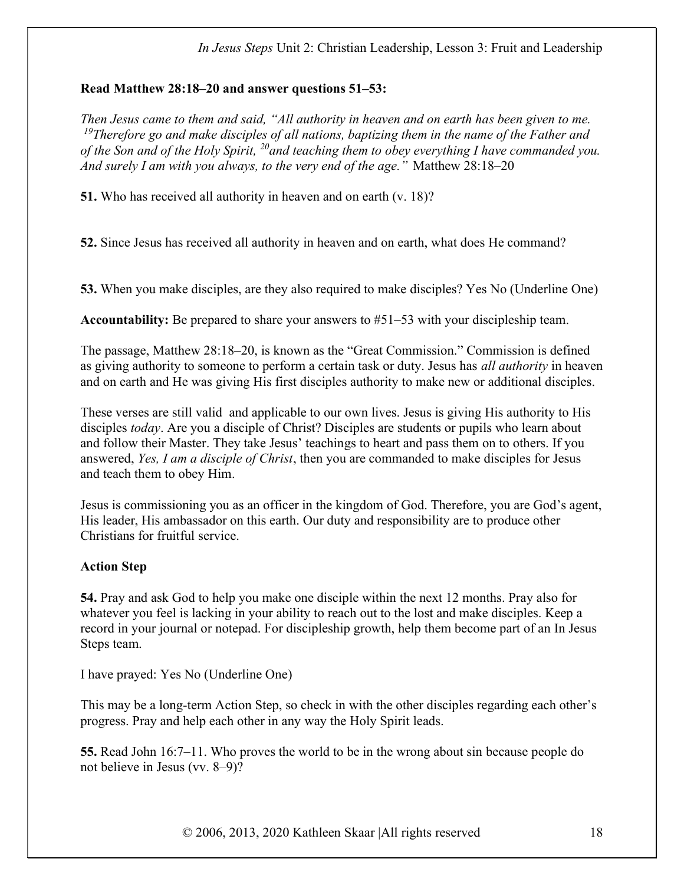#### Read Matthew 28:18–20 and answer questions 51–53:

Then Jesus came to them and said, "All authority in heaven and on earth has been given to me. <sup>19</sup>Therefore go and make disciples of all nations, baptizing them in the name of the Father and of the Son and of the Holy Spirit,  $^{20}$  and teaching them to obey everything I have commanded you. And surely I am with you always, to the very end of the age." Matthew 28:18–20

51. Who has received all authority in heaven and on earth (v. 18)?

52. Since Jesus has received all authority in heaven and on earth, what does He command?

53. When you make disciples, are they also required to make disciples? Yes No (Underline One)

Accountability: Be prepared to share your answers to #51–53 with your discipleship team.

The passage, Matthew 28:18–20, is known as the "Great Commission." Commission is defined as giving authority to someone to perform a certain task or duty. Jesus has *all authority* in heaven and on earth and He was giving His first disciples authority to make new or additional disciples.

These verses are still valid and applicable to our own lives. Jesus is giving His authority to His disciples today. Are you a disciple of Christ? Disciples are students or pupils who learn about and follow their Master. They take Jesus' teachings to heart and pass them on to others. If you answered, Yes, I am a disciple of Christ, then you are commanded to make disciples for Jesus and teach them to obey Him.

Jesus is commissioning you as an officer in the kingdom of God. Therefore, you are God's agent, His leader, His ambassador on this earth. Our duty and responsibility are to produce other Christians for fruitful service.

### Action Step

54. Pray and ask God to help you make one disciple within the next 12 months. Pray also for whatever you feel is lacking in your ability to reach out to the lost and make disciples. Keep a record in your journal or notepad. For discipleship growth, help them become part of an In Jesus Steps team.

I have prayed: Yes No (Underline One)

This may be a long-term Action Step, so check in with the other disciples regarding each other's progress. Pray and help each other in any way the Holy Spirit leads.

55. Read John 16:7–11. Who proves the world to be in the wrong about sin because people do not believe in Jesus (vv. 8–9)?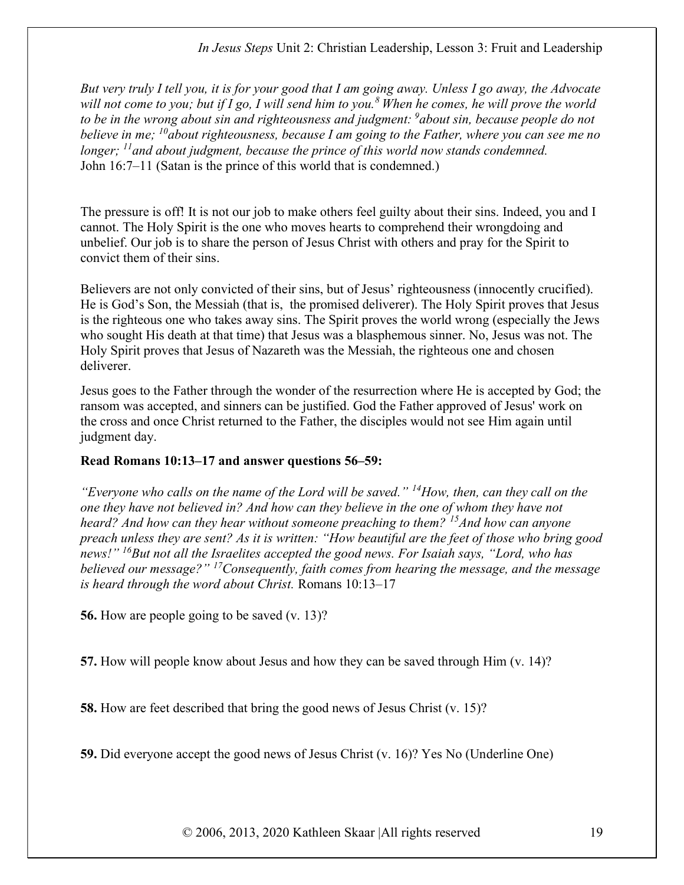But very truly I tell you, it is for your good that I am going away. Unless I go away, the Advocate will not come to you; but if I go, I will send him to you.<sup>8</sup> When he comes, he will prove the world to be in the wrong about sin and righteousness and judgment:  $\delta$ about sin, because people do not believe in me; <sup>10</sup>about righteousness, because I am going to the Father, where you can see me no longer;  $\frac{11}{1}$  and about judgment, because the prince of this world now stands condemned. John 16:7–11 (Satan is the prince of this world that is condemned.)

The pressure is off! It is not our job to make others feel guilty about their sins. Indeed, you and I cannot. The Holy Spirit is the one who moves hearts to comprehend their wrongdoing and unbelief. Our job is to share the person of Jesus Christ with others and pray for the Spirit to convict them of their sins.

Believers are not only convicted of their sins, but of Jesus' righteousness (innocently crucified). He is God's Son, the Messiah (that is, the promised deliverer). The Holy Spirit proves that Jesus is the righteous one who takes away sins. The Spirit proves the world wrong (especially the Jews who sought His death at that time) that Jesus was a blasphemous sinner. No, Jesus was not. The Holy Spirit proves that Jesus of Nazareth was the Messiah, the righteous one and chosen deliverer.

Jesus goes to the Father through the wonder of the resurrection where He is accepted by God; the ransom was accepted, and sinners can be justified. God the Father approved of Jesus' work on the cross and once Christ returned to the Father, the disciples would not see Him again until judgment day.

### Read Romans 10:13–17 and answer questions 56–59:

"Everyone who calls on the name of the Lord will be saved."  $^{14}$ How, then, can they call on the one they have not believed in? And how can they believe in the one of whom they have not heard? And how can they hear without someone preaching to them? <sup>15</sup>And how can anyone preach unless they are sent? As it is written: "How beautiful are the feet of those who bring good news!"  $^{16}$ But not all the Israelites accepted the good news. For Isaiah says, "Lord, who has believed our message?"  $^{17}$ Consequently, faith comes from hearing the message, and the message is heard through the word about Christ. Romans 10:13–17

56. How are people going to be saved (v. 13)?

57. How will people know about Jesus and how they can be saved through Him (v. 14)?

58. How are feet described that bring the good news of Jesus Christ (v. 15)?

59. Did everyone accept the good news of Jesus Christ (v. 16)? Yes No (Underline One)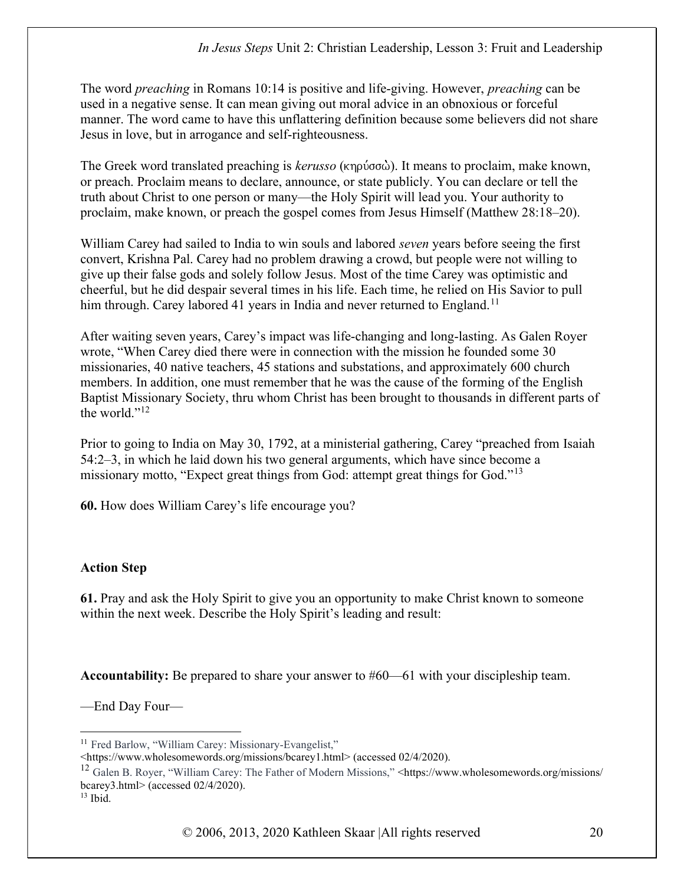The word *preaching* in Romans 10:14 is positive and life-giving. However, *preaching* can be used in a negative sense. It can mean giving out moral advice in an obnoxious or forceful manner. The word came to have this unflattering definition because some believers did not share Jesus in love, but in arrogance and self-righteousness.

The Greek word translated preaching is kerusso (κηρύσσὼ). It means to proclaim, make known, or preach. Proclaim means to declare, announce, or state publicly. You can declare or tell the truth about Christ to one person or many—the Holy Spirit will lead you. Your authority to proclaim, make known, or preach the gospel comes from Jesus Himself (Matthew 28:18–20).

William Carey had sailed to India to win souls and labored *seven* years before seeing the first convert, Krishna Pal. Carey had no problem drawing a crowd, but people were not willing to give up their false gods and solely follow Jesus. Most of the time Carey was optimistic and cheerful, but he did despair several times in his life. Each time, he relied on His Savior to pull him through. Carey labored 41 years in India and never returned to England.<sup>11</sup>

After waiting seven years, Carey's impact was life-changing and long-lasting. As Galen Royer wrote, "When Carey died there were in connection with the mission he founded some 30 missionaries, 40 native teachers, 45 stations and substations, and approximately 600 church members. In addition, one must remember that he was the cause of the forming of the English Baptist Missionary Society, thru whom Christ has been brought to thousands in different parts of the world."<sup>12</sup>

Prior to going to India on May 30, 1792, at a ministerial gathering, Carey "preached from Isaiah 54:2–3, in which he laid down his two general arguments, which have since become a missionary motto, "Expect great things from God: attempt great things for God."<sup>13</sup>

60. How does William Carey's life encourage you?

### Action Step

61. Pray and ask the Holy Spirit to give you an opportunity to make Christ known to someone within the next week. Describe the Holy Spirit's leading and result:

Accountability: Be prepared to share your answer to #60—61 with your discipleship team.

—End Day Four—

<sup>&</sup>lt;sup>11</sup> Fred Barlow, "William Carey: Missionary-Evangelist,"

<sup>&</sup>lt;https://www.wholesomewords.org/missions/bcarey1.html> (accessed 02/4/2020).

<sup>&</sup>lt;sup>12</sup> Galen B. Royer, "William Carey: The Father of Modern Missions," <https://www.wholesomewords.org/missions/ bcarey3.html> (accessed 02/4/2020).

 $13$  Ibid.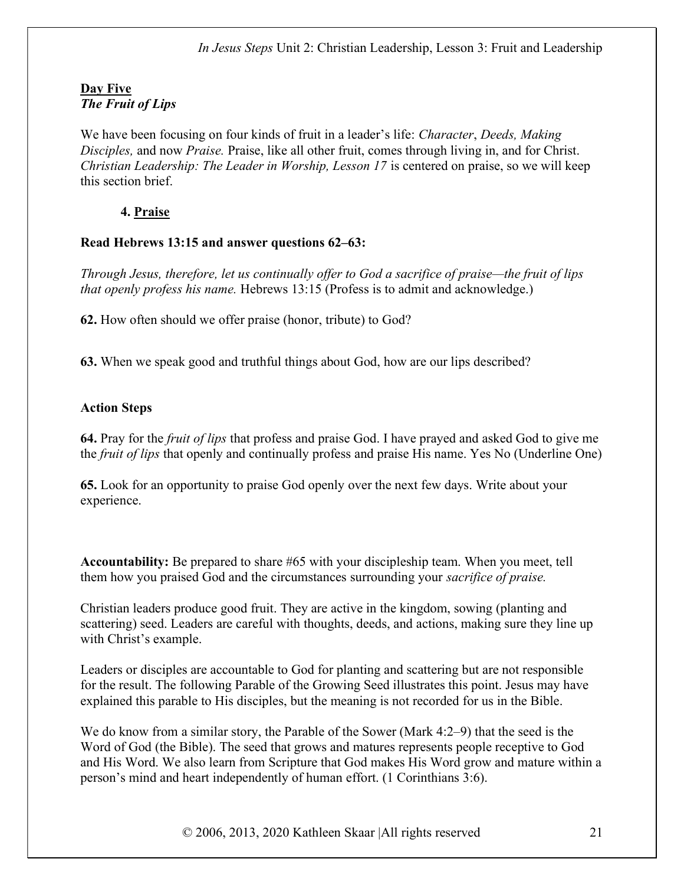## Day Five The Fruit of Lips

We have been focusing on four kinds of fruit in a leader's life: *Character*, *Deeds*, *Making* Disciples, and now Praise. Praise, like all other fruit, comes through living in, and for Christ. Christian Leadership: The Leader in Worship, Lesson 17 is centered on praise, so we will keep this section brief.

# 4. Praise

### Read Hebrews 13:15 and answer questions 62–63:

Through Jesus, therefore, let us continually offer to God a sacrifice of praise—the fruit of lips that openly profess his name. Hebrews 13:15 (Profess is to admit and acknowledge.)

62. How often should we offer praise (honor, tribute) to God?

63. When we speak good and truthful things about God, how are our lips described?

# Action Steps

64. Pray for the fruit of lips that profess and praise God. I have prayed and asked God to give me the fruit of lips that openly and continually profess and praise His name. Yes No (Underline One)

65. Look for an opportunity to praise God openly over the next few days. Write about your experience.

Accountability: Be prepared to share #65 with your discipleship team. When you meet, tell them how you praised God and the circumstances surrounding your *sacrifice of praise*.

Christian leaders produce good fruit. They are active in the kingdom, sowing (planting and scattering) seed. Leaders are careful with thoughts, deeds, and actions, making sure they line up with Christ's example.

Leaders or disciples are accountable to God for planting and scattering but are not responsible for the result. The following Parable of the Growing Seed illustrates this point. Jesus may have explained this parable to His disciples, but the meaning is not recorded for us in the Bible.

We do know from a similar story, the Parable of the Sower (Mark 4:2–9) that the seed is the Word of God (the Bible). The seed that grows and matures represents people receptive to God and His Word. We also learn from Scripture that God makes His Word grow and mature within a person's mind and heart independently of human effort. (1 Corinthians 3:6).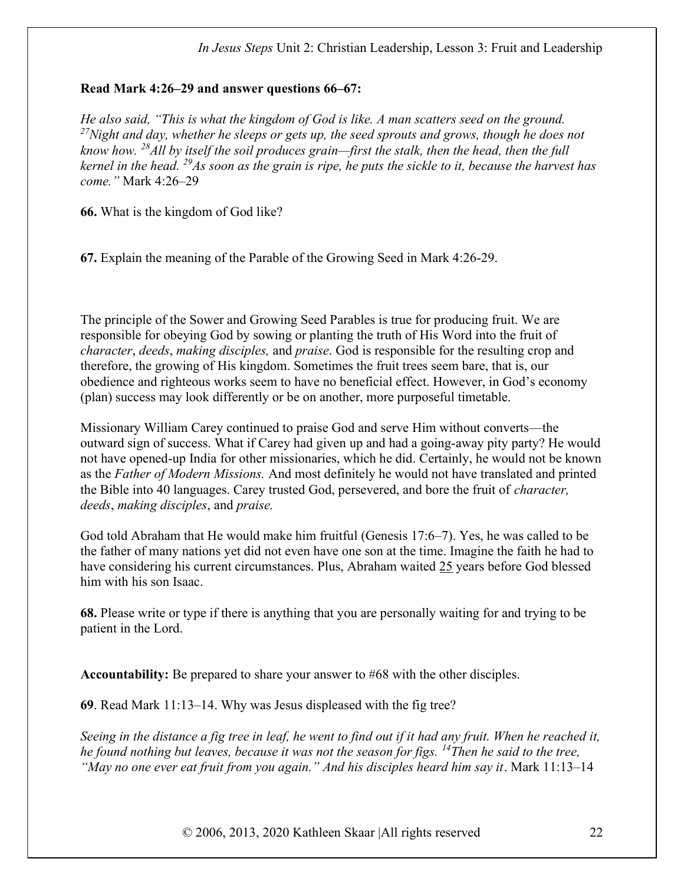#### Read Mark 4:26–29 and answer questions 66–67:

He also said, "This is what the kingdom of God is like. A man scatters seed on the ground. <sup>27</sup>Night and day, whether he sleeps or gets up, the seed sprouts and grows, though he does not know how. <sup>28</sup>All by itself the soil produces grain—first the stalk, then the head, then the full kernel in the head.  $^{29}$ As soon as the grain is ripe, he puts the sickle to it, because the harvest has come." Mark 4:26–29

66. What is the kingdom of God like?

67. Explain the meaning of the Parable of the Growing Seed in Mark 4:26-29.

The principle of the Sower and Growing Seed Parables is true for producing fruit. We are responsible for obeying God by sowing or planting the truth of His Word into the fruit of character, deeds, making disciples, and praise. God is responsible for the resulting crop and therefore, the growing of His kingdom. Sometimes the fruit trees seem bare, that is, our obedience and righteous works seem to have no beneficial effect. However, in God's economy (plan) success may look differently or be on another, more purposeful timetable.

Missionary William Carey continued to praise God and serve Him without converts—the outward sign of success. What if Carey had given up and had a going-away pity party? He would not have opened-up India for other missionaries, which he did. Certainly, he would not be known as the Father of Modern Missions. And most definitely he would not have translated and printed the Bible into 40 languages. Carey trusted God, persevered, and bore the fruit of character, deeds, making disciples, and praise.

God told Abraham that He would make him fruitful (Genesis 17:6–7). Yes, he was called to be the father of many nations yet did not even have one son at the time. Imagine the faith he had to have considering his current circumstances. Plus, Abraham waited 25 years before God blessed him with his son Isaac.

68. Please write or type if there is anything that you are personally waiting for and trying to be patient in the Lord.

Accountability: Be prepared to share your answer to #68 with the other disciples.

69. Read Mark 11:13–14. Why was Jesus displeased with the fig tree?

Seeing in the distance a fig tree in leaf, he went to find out if it had any fruit. When he reached it, he found nothing but leaves, because it was not the season for figs.  $^{14}$ Then he said to the tree, "May no one ever eat fruit from you again." And his disciples heard him say it. Mark 11:13–14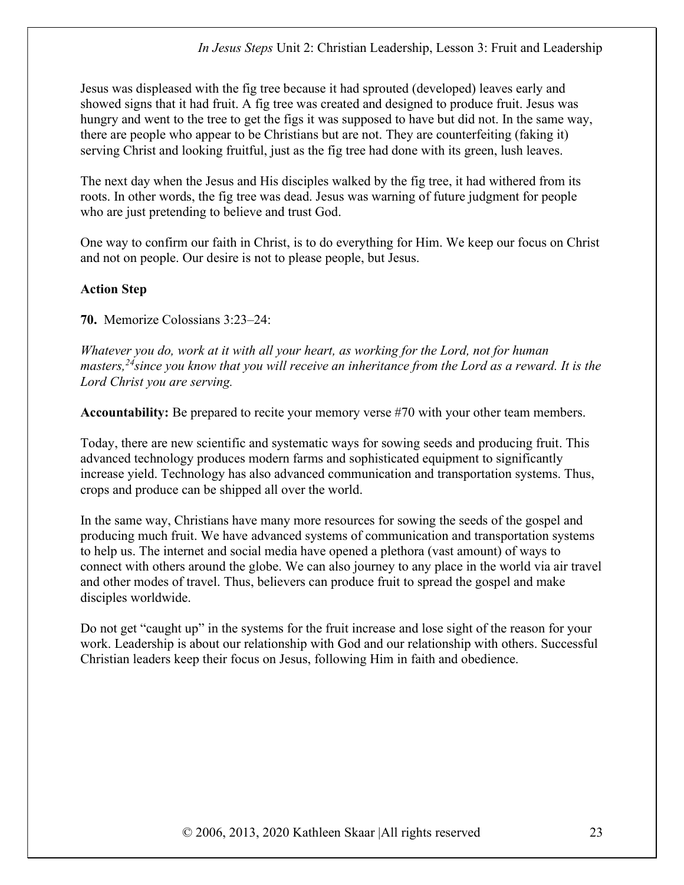Jesus was displeased with the fig tree because it had sprouted (developed) leaves early and showed signs that it had fruit. A fig tree was created and designed to produce fruit. Jesus was hungry and went to the tree to get the figs it was supposed to have but did not. In the same way, there are people who appear to be Christians but are not. They are counterfeiting (faking it) serving Christ and looking fruitful, just as the fig tree had done with its green, lush leaves.

The next day when the Jesus and His disciples walked by the fig tree, it had withered from its roots. In other words, the fig tree was dead. Jesus was warning of future judgment for people who are just pretending to believe and trust God.

One way to confirm our faith in Christ, is to do everything for Him. We keep our focus on Christ and not on people. Our desire is not to please people, but Jesus.

# Action Step

70. Memorize Colossians 3:23–24:

Whatever you do, work at it with all your heart, as working for the Lord, not for human masters,  $24$  since you know that you will receive an inheritance from the Lord as a reward. It is the Lord Christ you are serving.

Accountability: Be prepared to recite your memory verse #70 with your other team members.

Today, there are new scientific and systematic ways for sowing seeds and producing fruit. This advanced technology produces modern farms and sophisticated equipment to significantly increase yield. Technology has also advanced communication and transportation systems. Thus, crops and produce can be shipped all over the world.

In the same way, Christians have many more resources for sowing the seeds of the gospel and producing much fruit. We have advanced systems of communication and transportation systems to help us. The internet and social media have opened a plethora (vast amount) of ways to connect with others around the globe. We can also journey to any place in the world via air travel and other modes of travel. Thus, believers can produce fruit to spread the gospel and make disciples worldwide.

Do not get "caught up" in the systems for the fruit increase and lose sight of the reason for your work. Leadership is about our relationship with God and our relationship with others. Successful Christian leaders keep their focus on Jesus, following Him in faith and obedience.